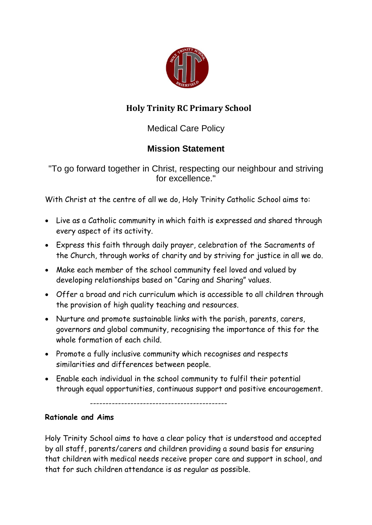

# **Holy Trinity RC Primary School**

Medical Care Policy

# **Mission Statement**

"To go forward together in Christ, respecting our neighbour and striving for excellence."

With Christ at the centre of all we do, Holy Trinity Catholic School aims to:

- Live as a Catholic community in which faith is expressed and shared through every aspect of its activity.
- Express this faith through daily prayer, celebration of the Sacraments of the Church, through works of charity and by striving for justice in all we do.
- Make each member of the school community feel loved and valued by developing relationships based on "Caring and Sharing" values.
- Offer a broad and rich curriculum which is accessible to all children through the provision of high quality teaching and resources.
- Nurture and promote sustainable links with the parish, parents, carers, governors and global community, recognising the importance of this for the whole formation of each child.
- Promote a fully inclusive community which recognises and respects similarities and differences between people.
- Enable each individual in the school community to fulfil their potential through equal opportunities, continuous support and positive encouragement.

--------------------------------------------

## **Rationale and Aims**

Holy Trinity School aims to have a clear policy that is understood and accepted by all staff, parents/carers and children providing a sound basis for ensuring that children with medical needs receive proper care and support in school, and that for such children attendance is as regular as possible.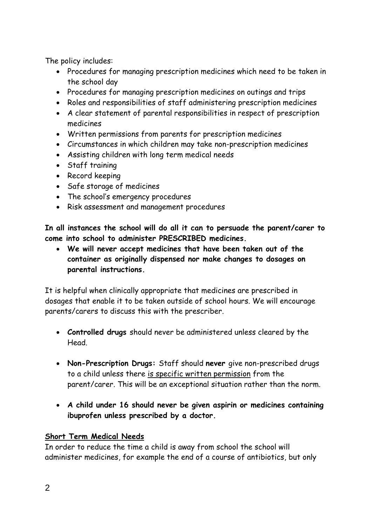The policy includes:

- Procedures for managing prescription medicines which need to be taken in the school day
- Procedures for managing prescription medicines on outings and trips
- Roles and responsibilities of staff administering prescription medicines
- A clear statement of parental responsibilities in respect of prescription medicines
- Written permissions from parents for prescription medicines
- Circumstances in which children may take non-prescription medicines
- Assisting children with long term medical needs
- Staff training
- Record keeping
- Safe storage of medicines
- The school's emergency procedures
- Risk assessment and management procedures

**In all instances the school will do all it can to persuade the parent/carer to come into school to administer PRESCRIBED medicines.**

 **We will never accept medicines that have been taken out of the container as originally dispensed nor make changes to dosages on parental instructions.**

It is helpful when clinically appropriate that medicines are prescribed in dosages that enable it to be taken outside of school hours. We will encourage parents/carers to discuss this with the prescriber.

- **Controlled drugs** should never be administered unless cleared by the Head.
- **Non-Prescription Drugs:** Staff should **never** give non-prescribed drugs to a child unless there is specific written permission from the parent/carer. This will be an exceptional situation rather than the norm.
- **A child under 16 should never be given aspirin or medicines containing ibuprofen unless prescribed by a doctor.**

## **Short Term Medical Needs**

In order to reduce the time a child is away from school the school will administer medicines, for example the end of a course of antibiotics, but only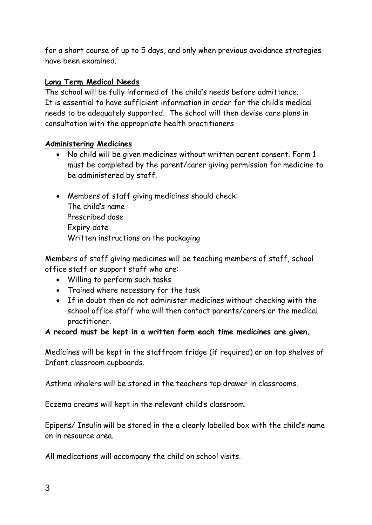for a short course of up to 5 days, and only when previous avoidance strategies have been examined.

#### **Long Term Medical Needs**

The school will be fully informed of the child's needs before admittance. It is essential to have sufficient information in order for the child's medical needs to be adequately supported. The school will then devise care plans in consultation with the appropriate health practitioners.

#### **Administering Medicines**

- No child will be given medicines without written parent consent. Form 1 must be completed by the parent/carer giving permission for medicine to be administered by staff.
- Members of staff giving medicines should check: The child's name Prescribed dose Expiry date Written instructions on the packaging

Members of staff giving medicines will be teaching members of staff, school office staff or support staff who are:

- Willing to perform such tasks
- Trained where necessary for the task
- If in doubt then do not administer medicines without checking with the school office staff who will then contact parents/carers or the medical practitioner.

#### **A record must be kept in a written form each time medicines are given.**

Medicines will be kept in the staffroom fridge (if required) or on top shelves of Infant classroom cupboards.

Asthma inhalers will be stored in the teachers top drawer in classrooms.

Eczema creams will kept in the relevant child's classroom.

Epipens/ Insulin will be stored in the a clearly labelled box with the child's name on in resource area.

All medications will accompany the child on school visits.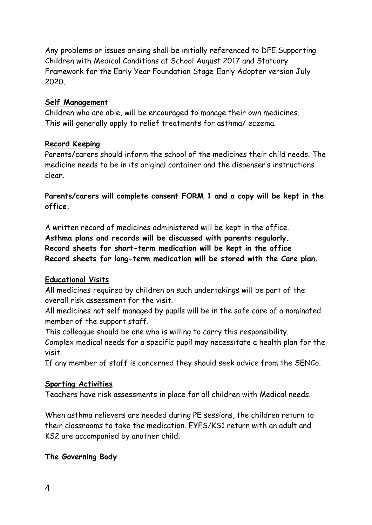Any problems or issues arising shall be initially referenced to DFE.Supporting Children with Medical Conditions at School August 2017 and Statuary Framework for the Early Year Foundation Stage Early Adopter version July 2020.

## **Self Management**

Children who are able, will be encouraged to manage their own medicines. This will generally apply to relief treatments for asthma/ eczema.

#### **Record Keeping**

Parents/carers should inform the school of the medicines their child needs. The medicine needs to be in its original container and the dispenser's instructions clear.

**Parents/carers will complete consent FORM 1 and a copy will be kept in the office.**

A written record of medicines administered will be kept in the office. **Asthma plans and records will be discussed with parents regularly. Record sheets for short-term medication will be kept in the office Record sheets for long-term medication will be stored with the Care plan.**

## **Educational Visits**

All medicines required by children on such undertakings will be part of the overall risk assessment for the visit.

All medicines not self managed by pupils will be in the safe care of a nominated member of the support staff.

This colleague should be one who is willing to carry this responsibility.

Complex medical needs for a specific pupil may necessitate a health plan for the visit.

If any member of staff is concerned they should seek advice from the SENCo.

#### **Sporting Activities**

Teachers have risk assessments in place for all children with Medical needs.

When asthma relievers are needed during PE sessions, the children return to their classrooms to take the medication. EYFS/KS1 return with an adult and KS2 are accompanied by another child.

## **The Governing Body**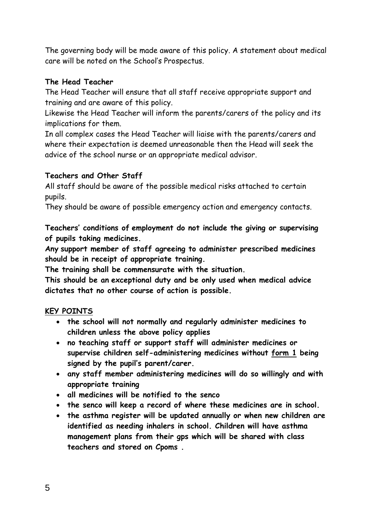The governing body will be made aware of this policy. A statement about medical care will be noted on the School's Prospectus.

## **The Head Teacher**

The Head Teacher will ensure that all staff receive appropriate support and training and are aware of this policy.

Likewise the Head Teacher will inform the parents/carers of the policy and its implications for them.

In all complex cases the Head Teacher will liaise with the parents/carers and where their expectation is deemed unreasonable then the Head will seek the advice of the school nurse or an appropriate medical advisor.

## **Teachers and Other Staff**

All staff should be aware of the possible medical risks attached to certain pupils.

They should be aware of possible emergency action and emergency contacts.

**Teachers' conditions of employment do not include the giving or supervising of pupils taking medicines.** 

**Any support member of staff agreeing to administer prescribed medicines should be in receipt of appropriate training.** 

**The training shall be commensurate with the situation.**

**This should be an exceptional duty and be only used when medical advice dictates that no other course of action is possible.**

## **KEY POINTS**

- **the school will not normally and regularly administer medicines to children unless the above policy applies**
- **no teaching staff or support staff will administer medicines or supervise children self-administering medicines without form 1 being signed by the pupil's parent/carer.**
- **any staff member administering medicines will do so willingly and with appropriate training**
- **all medicines will be notified to the senco**
- **the senco will keep a record of where these medicines are in school.**
- **the asthma register will be updated annually or when new children are identified as needing inhalers in school. Children will have asthma management plans from their gps which will be shared with class teachers and stored on Cpoms .**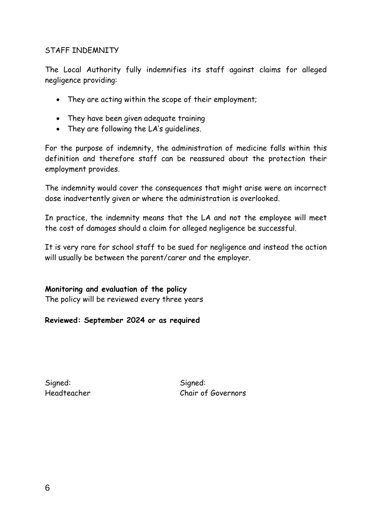#### STAFF INDEMNITY

The Local Authority fully indemnifies its staff against claims for alleged negligence providing:

- They are acting within the scope of their employment;
- They have been given adequate training
- They are following the LA's guidelines.

For the purpose of indemnity, the administration of medicine falls within this definition and therefore staff can be reassured about the protection their employment provides.

The indemnity would cover the consequences that might arise were an incorrect dose inadvertently given or where the administration is overlooked.

In practice, the indemnity means that the LA and not the employee will meet the cost of damages should a claim for alleged negligence be successful.

It is very rare for school staff to be sued for negligence and instead the action will usually be between the parent/carer and the employer.

**Monitoring and evaluation of the policy** The policy will be reviewed every three years

**Reviewed: September 2024 or as required**

Signed: Signed: Signed:

Headteacher Chair of Governors